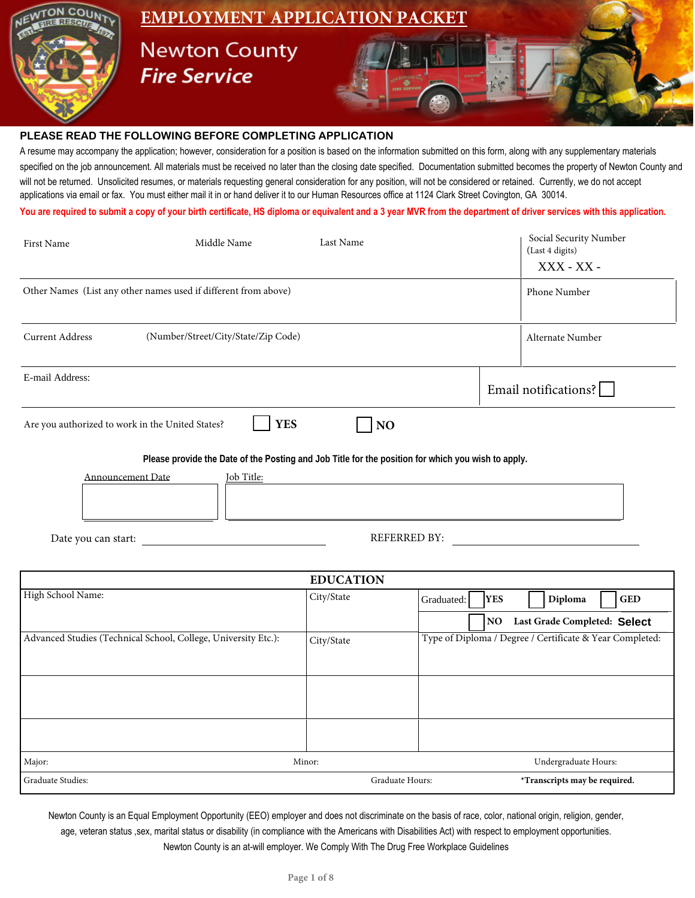

#### **PLEASE READ THE FOLLOWING BEFORE COMPLETING APPLICATION**

A resume may accompany the application; however, consideration for a position is based on the information submitted on this form, along with any supplementary materials specified on the job announcement. All materials must be received no later than the closing date specified. Documentation submitted becomes the property of Newton County and will not be returned. Unsolicited resumes, or materials requesting general consideration for any position, will not be considered or retained. Currently, we do not accept applications via email or fax. You must either mail it in or hand deliver it to our Human Resources office at 1124 Clark Street Covington, GA 30014.

**You are required to submit a copy of your birth certificate, HS diploma or equivalent and a 3 year MVR from the department of driver services with this application.**

| First Name             | Middle Name                                                     | Last Name                                                                                          | Social Security Number<br>(Last 4 digits)<br>XXX - XX - |
|------------------------|-----------------------------------------------------------------|----------------------------------------------------------------------------------------------------|---------------------------------------------------------|
|                        | Other Names (List any other names used if different from above) |                                                                                                    | Phone Number                                            |
| <b>Current Address</b> | (Number/Street/City/State/Zip Code)                             |                                                                                                    | Alternate Number                                        |
| E-mail Address:        |                                                                 |                                                                                                    | Email notifications?                                    |
|                        | <b>YES</b><br>Are you authorized to work in the United States?  | NO                                                                                                 |                                                         |
|                        |                                                                 | Please provide the Date of the Posting and Job Title for the position for which you wish to apply. |                                                         |
|                        | <b>Announcement Date</b><br>Job Title:                          |                                                                                                    |                                                         |
| Date you can start:    |                                                                 | <b>REFERRED BY:</b>                                                                                |                                                         |

|                                                                | <b>EDUCATION</b> |                                                          |
|----------------------------------------------------------------|------------------|----------------------------------------------------------|
| High School Name:                                              | City/State       | Diploma<br><b>YES</b><br>$\mathbf{GED}$<br>Graduated:    |
|                                                                |                  | Last Grade Completed: Select<br><b>NO</b>                |
| Advanced Studies (Technical School, College, University Etc.): | City/State       | Type of Diploma / Degree / Certificate & Year Completed: |
|                                                                |                  |                                                          |
|                                                                |                  |                                                          |
|                                                                |                  |                                                          |
|                                                                |                  |                                                          |
|                                                                |                  |                                                          |
| Major:                                                         | Minor:           | Undergraduate Hours:                                     |
| Graduate Studies:                                              | Graduate Hours:  | *Transcripts may be required.                            |

Newton County is an Equal Employment Opportunity (EEO) employer and does not discriminate on the basis of race, color, national origin, religion, gender, age, veteran status ,sex, marital status or disability (in compliance with the Americans with Disabilities Act) with respect to employment opportunities. Newton County is an at-will employer. We Comply With The Drug Free Workplace Guidelines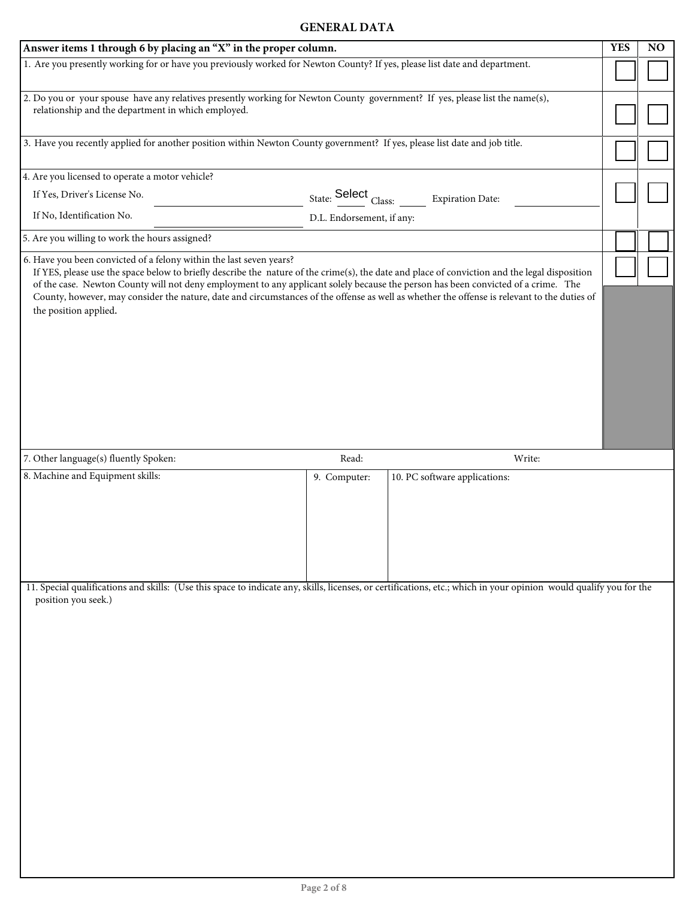### **GENERAL DATA**

| 1. Are you presently working for or have you previously worked for Newton County? If yes, please list date and department.<br>2. Do you or your spouse have any relatives presently working for Newton County government? If yes, please list the name(s),<br>relationship and the department in which employed.                                                                                                                                                                                                                  |  |  |  |  |  |
|-----------------------------------------------------------------------------------------------------------------------------------------------------------------------------------------------------------------------------------------------------------------------------------------------------------------------------------------------------------------------------------------------------------------------------------------------------------------------------------------------------------------------------------|--|--|--|--|--|
|                                                                                                                                                                                                                                                                                                                                                                                                                                                                                                                                   |  |  |  |  |  |
|                                                                                                                                                                                                                                                                                                                                                                                                                                                                                                                                   |  |  |  |  |  |
| 3. Have you recently applied for another position within Newton County government? If yes, please list date and job title.                                                                                                                                                                                                                                                                                                                                                                                                        |  |  |  |  |  |
| 4. Are you licensed to operate a motor vehicle?                                                                                                                                                                                                                                                                                                                                                                                                                                                                                   |  |  |  |  |  |
| If Yes, Driver's License No.<br>State: Select Class: ______ Expiration Date:                                                                                                                                                                                                                                                                                                                                                                                                                                                      |  |  |  |  |  |
| If No, Identification No.<br>D.L. Endorsement, if any:                                                                                                                                                                                                                                                                                                                                                                                                                                                                            |  |  |  |  |  |
| 5. Are you willing to work the hours assigned?                                                                                                                                                                                                                                                                                                                                                                                                                                                                                    |  |  |  |  |  |
| 6. Have you been convicted of a felony within the last seven years?<br>If YES, please use the space below to briefly describe the nature of the crime(s), the date and place of conviction and the legal disposition<br>of the case. Newton County will not deny employment to any applicant solely because the person has been convicted of a crime. The<br>County, however, may consider the nature, date and circumstances of the offense as well as whether the offense is relevant to the duties of<br>the position applied. |  |  |  |  |  |
| 7. Other language(s) fluently Spoken:<br>Read:<br>Write:                                                                                                                                                                                                                                                                                                                                                                                                                                                                          |  |  |  |  |  |
| 8. Machine and Equipment skills:<br>10. PC software applications:<br>9. Computer:                                                                                                                                                                                                                                                                                                                                                                                                                                                 |  |  |  |  |  |
| 11. Special qualifications and skills: (Use this space to indicate any, skills, licenses, or certifications, etc.; which in your opinion would qualify you for the<br>position you seek.)<br>Page 2 of 8                                                                                                                                                                                                                                                                                                                          |  |  |  |  |  |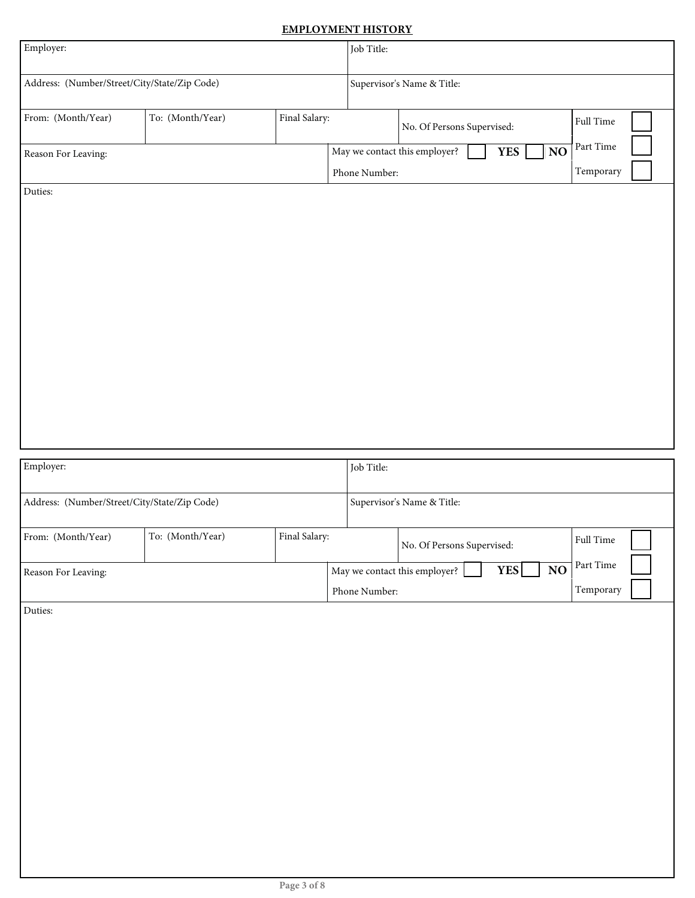### **EMPLOYMENT HISTORY**

| Employer:                                    |                  |               | Job Title:                                     |                               |                        |                        |  |
|----------------------------------------------|------------------|---------------|------------------------------------------------|-------------------------------|------------------------|------------------------|--|
| Address: (Number/Street/City/State/Zip Code) |                  |               |                                                | Supervisor's Name & Title:    |                        |                        |  |
| From: (Month/Year)                           | To: (Month/Year) | Final Salary: |                                                | No. Of Persons Supervised:    |                        | Full Time              |  |
| Reason For Leaving:                          |                  |               | May we contact this employer?<br>Phone Number: |                               | <b>YES</b><br>NO       | Part Time<br>Temporary |  |
| Duties:                                      |                  |               |                                                |                               |                        |                        |  |
|                                              |                  |               |                                                |                               |                        |                        |  |
|                                              |                  |               |                                                |                               |                        |                        |  |
|                                              |                  |               |                                                |                               |                        |                        |  |
|                                              |                  |               |                                                |                               |                        |                        |  |
|                                              |                  |               |                                                |                               |                        |                        |  |
|                                              |                  |               |                                                |                               |                        |                        |  |
|                                              |                  |               |                                                |                               |                        |                        |  |
| Employer:                                    |                  |               | Job Title:                                     |                               |                        |                        |  |
| Address: (Number/Street/City/State/Zip Code) |                  |               |                                                | Supervisor's Name & Title:    |                        |                        |  |
| From: (Month/Year)                           | To: (Month/Year) | Final Salary: |                                                | No. Of Persons Supervised:    |                        | Full Time              |  |
| Reason For Leaving:                          |                  |               |                                                |                               |                        |                        |  |
|                                              |                  |               |                                                | May we contact this employer? | $\bf NO$<br><b>YES</b> | Part Time              |  |
| Duties:                                      |                  |               | Phone Number:                                  |                               |                        | Temporary              |  |
|                                              |                  |               |                                                |                               |                        |                        |  |
|                                              |                  |               |                                                |                               |                        |                        |  |
|                                              |                  |               |                                                |                               |                        |                        |  |
|                                              |                  |               |                                                |                               |                        |                        |  |
|                                              |                  |               |                                                |                               |                        |                        |  |
|                                              |                  |               |                                                |                               |                        |                        |  |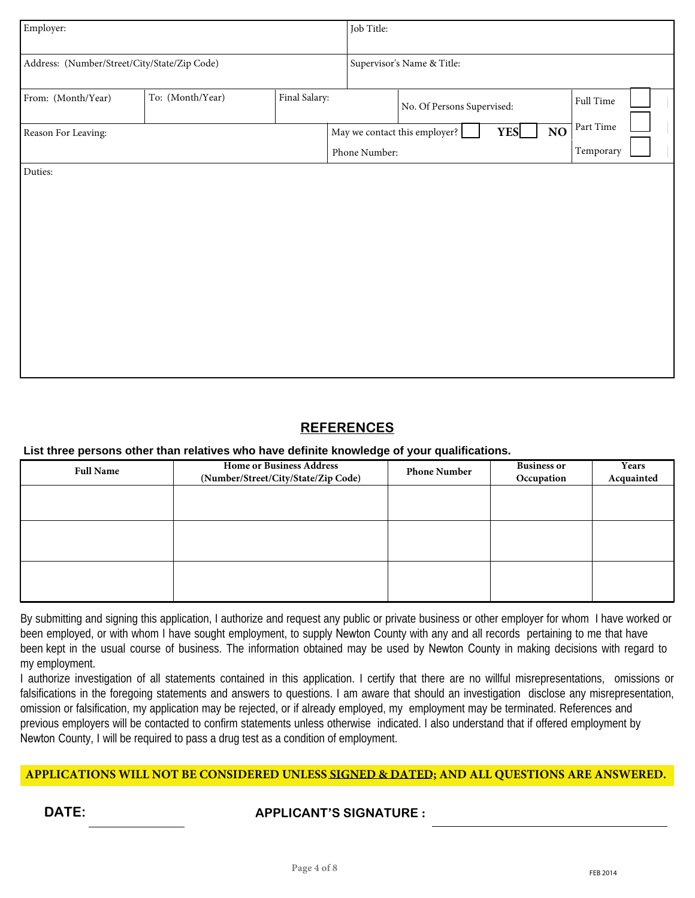| Employer:                                    |                  |               | Job Title:    |                               |                  |           |  |
|----------------------------------------------|------------------|---------------|---------------|-------------------------------|------------------|-----------|--|
| Address: (Number/Street/City/State/Zip Code) |                  |               |               | Supervisor's Name & Title:    |                  |           |  |
| From: (Month/Year)                           | To: (Month/Year) | Final Salary: |               | No. Of Persons Supervised:    |                  | Full Time |  |
| Reason For Leaving:                          |                  |               |               | May we contact this employer? | NO<br><b>YES</b> | Part Time |  |
|                                              |                  |               | Phone Number: |                               |                  | Temporary |  |
|                                              |                  |               |               |                               |                  |           |  |

### **REFERENCES**

### **List three persons other than relatives who have definite knowledge of your qualifications.**

| <b>Full Name</b> | <b>Home or Business Address</b><br>(Number/Street/City/State/Zip Code) | <b>Phone Number</b> | <b>Business or</b><br>Occupation | Years<br>Acquainted |
|------------------|------------------------------------------------------------------------|---------------------|----------------------------------|---------------------|
|                  |                                                                        |                     |                                  |                     |
|                  |                                                                        |                     |                                  |                     |
|                  |                                                                        |                     |                                  |                     |

By submitting and signing this application, I authorize and request any public or private business or other employer for whom I have worked or been employed, or with whom I have sought employment, to supply Newton County with any and all records pertaining to me that have been kept in the usual course of business. The information obtained may be used by Newton County in making decisions with regard to my employment.

I authorize investigation of all statements contained in this application. I certify that there are no willful misrepresentations, omissions or falsifications in the foregoing statements and answers to questions. I am aware that should an investigation disclose any misrepresentation, omission or falsification, my application may be rejected, or if already employed, my employment may be terminated. References and previous employers will be contacted to confirm statements unless otherwise indicated. I also understand that if offered employment by Newton County, I will be required to pass a drug test as a condition of employment.

### **APPLICATIONS WILL NOT BE CONSIDERED UNLESS SIGNED & DATED; AND ALL QUESTIONS ARE ANSWERED.**

### **DATE: APPLICANT'S SIGNATURE :**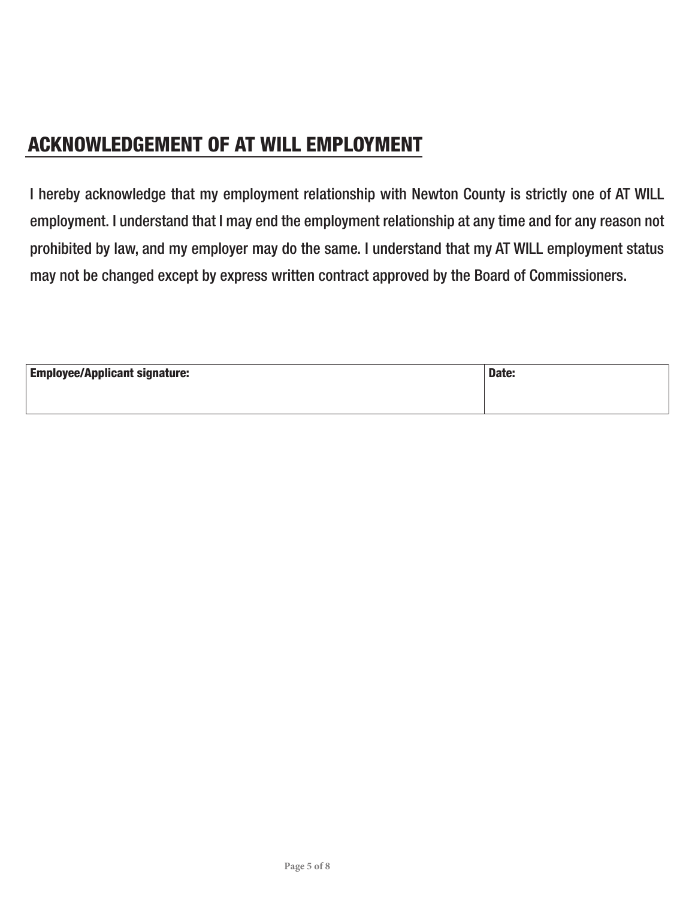## ACKNOWLEDGEMENT OF AT WILL EMPLOYMENT

I hereby acknowledge that my employment relationship with Newton County is strictly one of AT WILL employment. I understand that I may end the employment relationship at any time and for any reason not prohibited by law, and my employer may do the same. I understand that my AT WILL employment status may not be changed except by express written contract approved by the Board of Commissioners.

| <b>Employee/Applicant signature:</b> | Date: |
|--------------------------------------|-------|
|                                      |       |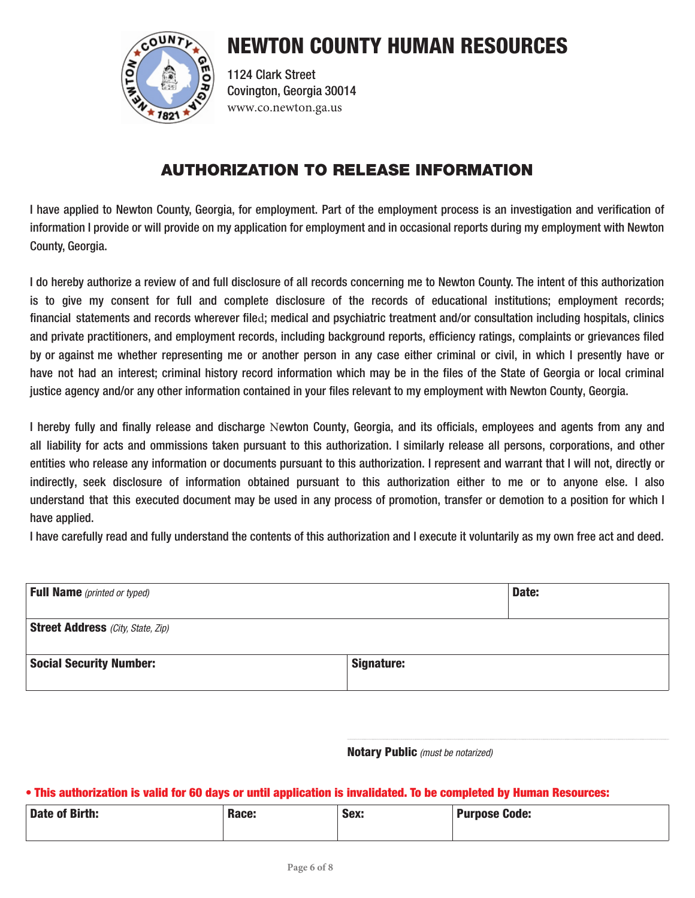

1124 Clark Street Covington, Georgia 30014 www.co.newton.ga.us

### AUTHORIZATION TO RELEASE INFORMATION

I have applied to Newton County, Georgia, for employment. Part of the employment process is an investigation and verification of information I provide or will provide on my application for employment and in occasional reports during my employment with Newton County, Georgia.

I do hereby authorize a review of and full disclosure of all records concerning me to Newton County. The intent of this authorization is to give my consent for full and complete disclosure of the records of educational institutions; employment records; financial statements and records wherever filed; medical and psychiatric treatment and/or consultation including hospitals, clinics and private practitioners, and employment records, including background reports, efficiency ratings, complaints or grievances filed by or against me whether representing me or another person in any case either criminal or civil, in which I presently have or have not had an interest; criminal history record information which may be in the files of the State of Georgia or local criminal justice agency and/or any other information contained in your files relevant to my employment with Newton County, Georgia.

I hereby fully and finally release and discharge Newton County, Georgia, and its officials, employees and agents from any and all liability for acts and ommissions taken pursuant to this authorization. I similarly release all persons, corporations, and other entities who release any information or documents pursuant to this authorization. I represent and warrant that I will not, directly or indirectly, seek disclosure of information obtained pursuant to this authorization either to me or to anyone else. I also understand that this executed document may be used in any process of promotion, transfer or demotion to a position for which I have applied.

I have carefully read and fully understand the contents of this authorization and I execute it voluntarily as my own free act and deed.

| <b>Full Name</b> (printed or typed)      |                   | Date: |
|------------------------------------------|-------------------|-------|
| <b>Street Address</b> (City, State, Zip) |                   |       |
| <b>Social Security Number:</b>           | <b>Signature:</b> |       |

Notary Public *(must be notarized)*

### • This authorization is valid for 60 days or until application is invalidated. To be completed by Human Resources:

| <b>Date of Birth:</b> | Race: | Sex:<br>$ -$ | <b>Purpose Code:</b> |
|-----------------------|-------|--------------|----------------------|
|                       |       |              |                      |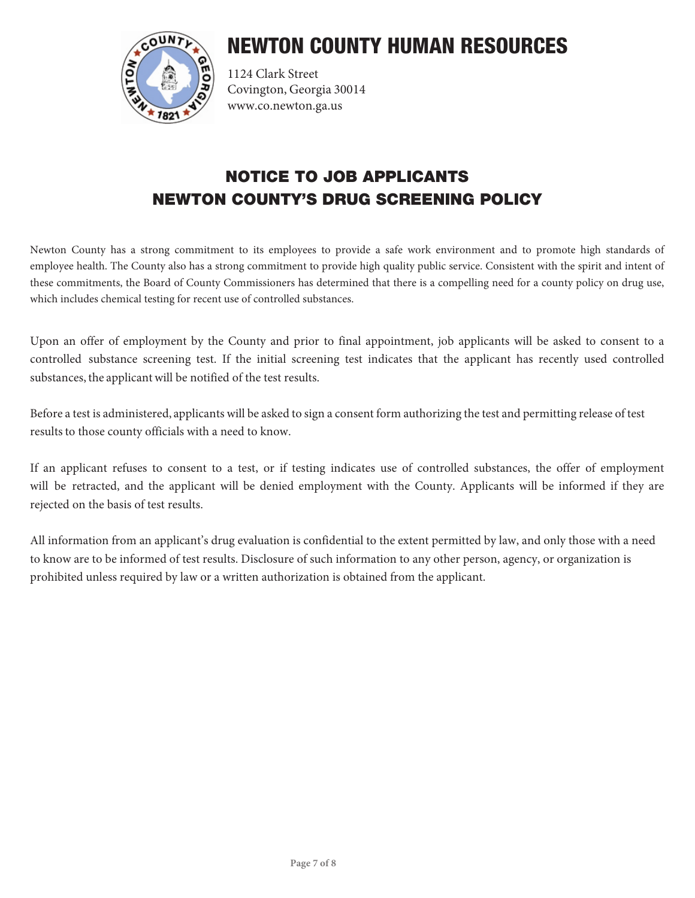

1124 Clark Street Covington, Georgia 30014 www.co.newton.ga.us

### NOTICE TO JOB APPLICANTS NEWTON COUNTY'S DRUG SCREENING POLICY

Newton County has a strong commitment to its employees to provide a safe work environment and to promote high standards of employee health. The County also has a strong commitment to provide high quality public service. Consistent with the spirit and intent of these commitments, the Board of County Commissioners has determined that there is a compelling need for a county policy on drug use, which includes chemical testing for recent use of controlled substances.

Upon an offer of employment by the County and prior to final appointment, job applicants will be asked to consent to a controlled substance screening test. If the initial screening test indicates that the applicant has recently used controlled substances, the applicant will be notified of the test results.

Before a test is administered, applicants will be asked to sign a consent form authorizing the test and permitting release of test results to those county officials with a need to know.

If an applicant refuses to consent to a test, or if testing indicates use of controlled substances, the offer of employment will be retracted, and the applicant will be denied employment with the County. Applicants will be informed if they are rejected on the basis of test results.

All information from an applicant's drug evaluation is confidential to the extent permitted by law, and only those with a need to know are to be informed of test results. Disclosure of such information to any other person, agency, or organization is prohibited unless required by law or a written authorization is obtained from the applicant.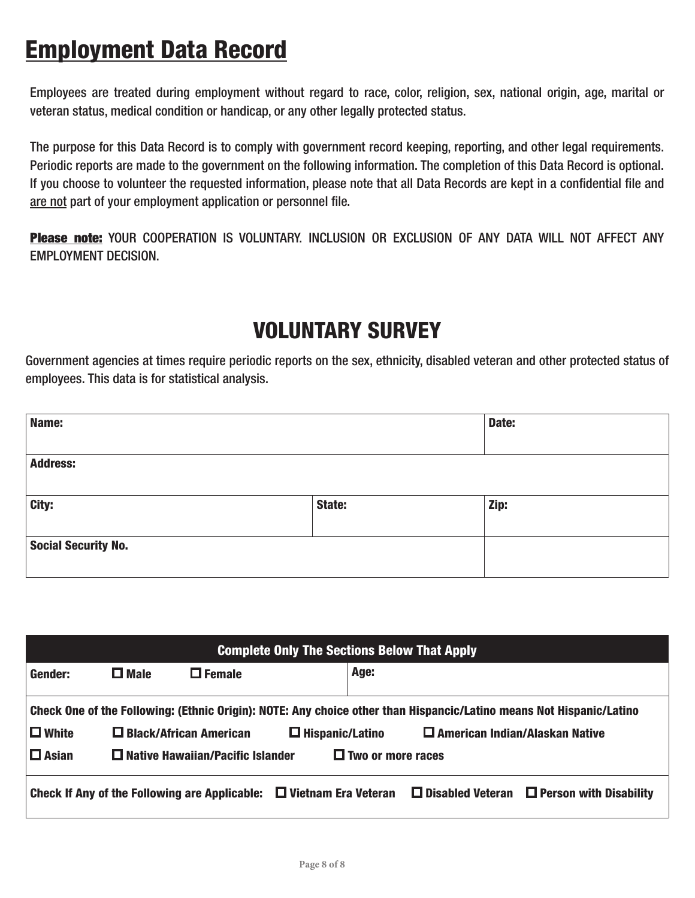# Employment Data Record

Employees are treated during employment without regard to race, color, religion, sex, national origin, age, marital or veteran status, medical condition or handicap, or any other legally protected status.

The purpose for this Data Record is to comply with government record keeping, reporting, and other legal requirements. Periodic reports are made to the government on the following information. The completion of this Data Record is optional. If you choose to volunteer the requested information, please note that all Data Records are kept in a confidential file and are not part of your employment application or personnel file.

Please note: YOUR COOPERATION IS VOLUNTARY. INCLUSION OR EXCLUSION OF ANY DATA WILL NOT AFFECT ANY EMPLOYMENT DECISION.

# VOLUNTARY SURVEY

Government agencies at times require periodic reports on the sex, ethnicity, disabled veteran and other protected status of employees. This data is for statistical analysis.

| Name:                      |        | Date: |
|----------------------------|--------|-------|
| <b>Address:</b>            |        |       |
| City:                      | State: | Zip:  |
| <b>Social Security No.</b> |        |       |

| <b>Complete Only The Sections Below That Apply</b> |             |                                         |                                                                                                                     |                                       |                                                       |
|----------------------------------------------------|-------------|-----------------------------------------|---------------------------------------------------------------------------------------------------------------------|---------------------------------------|-------------------------------------------------------|
| Gender:                                            | $\Box$ Male | $\Box$ Female                           | Age:                                                                                                                |                                       |                                                       |
|                                                    |             |                                         | Check One of the Following: (Ethnic Origin): NOTE: Any choice other than Hispancic/Latino means Not Hispanic/Latino |                                       |                                                       |
| $\Box$ White                                       |             | $\Box$ Black/African American           | $\Box$ Hispanic/Latino                                                                                              | $\Box$ American Indian/Alaskan Native |                                                       |
| $\Box$ Asian                                       |             | $\Box$ Native Hawaiian/Pacific Islander | $\Box$ Two or more races                                                                                            |                                       |                                                       |
|                                                    |             |                                         | Check If Any of the Following are Applicable: $\Box$ Vietnam Era Veteran                                            |                                       | $\Box$ Disabled Veteran $\Box$ Person with Disability |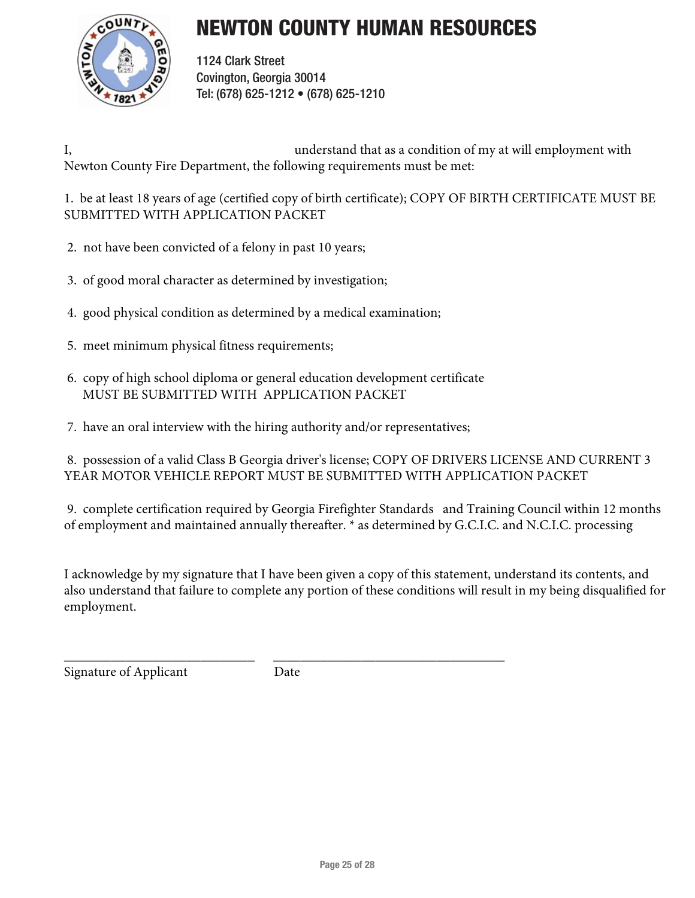

1124 Clark Street Covington, Georgia 30014 Tel: (678) 625-1212 • (678) 625-1210

I, understand that as a condition of my at will employment with Newton County Fire Department, the following requirements must be met:

1. be at least 18 years of age (certified copy of birth certificate); COPY OF BIRTH CERTIFICATE MUST BE SUBMITTED WITH APPLICATION PACKET

- 2. not have been convicted of a felony in past 10 years;
- 3. of good moral character as determined by investigation;
- 4. good physical condition as determined by a medical examination;
- 5. meet minimum physical fitness requirements;
- 6. copy of high school diploma or general education development certificate MUST BE SUBMITTED WITH APPLICATION PACKET
- 7. have an oral interview with the hiring authority and/or representatives;

8. possession of a valid Class B Georgia driver's license; COPY OF DRIVERS LICENSE AND CURRENT 3 YEAR MOTOR VEHICLE REPORT MUST BE SUBMITTED WITH APPLICATION PACKET

9. complete certification required by Georgia Firefighter Standards and Training Council within 12 months of employment and maintained annually thereafter. \* as determined by G.C.I.C. and N.C.I.C. processing

I acknowledge by my signature that I have been given a copy of this statement, understand its contents, and also understand that failure to complete any portion of these conditions will result in my being disqualified for employment.

Signature of Applicant Date

\_\_\_\_\_\_\_\_\_\_\_\_\_\_\_\_\_\_\_\_\_\_\_\_\_\_\_\_ \_\_\_\_\_\_\_\_\_\_\_\_\_\_\_\_\_\_\_\_\_\_\_\_\_\_\_\_\_\_\_\_\_\_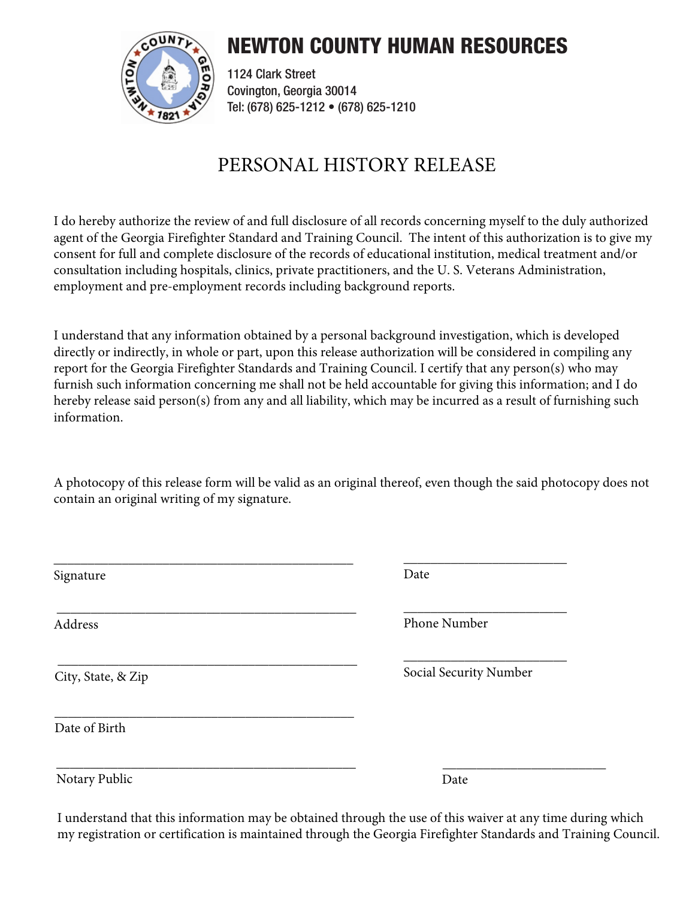

1124 Clark Street Covington, Georgia 30014 Tel: (678) 625-1212 • (678) 625-1210

## PERSONAL HISTORY RELEASE

I do hereby authorize the review of and full disclosure of all records concerning myself to the duly authorized agent of the Georgia Firefighter Standard and Training Council. The intent of this authorization is to give my consent for full and complete disclosure of the records of educational institution, medical treatment and/or consultation including hospitals, clinics, private practitioners, and the U. S. Veterans Administration, employment and pre-employment records including background reports.

I understand that any information obtained by a personal background investigation, which is developed directly or indirectly, in whole or part, upon this release authorization will be considered in compiling any report for the Georgia Firefighter Standards and Training Council. I certify that any person(s) who may furnish such information concerning me shall not be held accountable for giving this information; and I do hereby release said person(s) from any and all liability, which may be incurred as a result of furnishing such information.

A photocopy of this release form will be valid as an original thereof, even though the said photocopy does not contain an original writing of my signature.

| Signature          | Date                   |
|--------------------|------------------------|
| Address            | Phone Number           |
| City, State, & Zip | Social Security Number |
| Date of Birth      |                        |
| Notary Public      | Date                   |

I understand that this information may be obtained through the use of this waiver at any time during which my registration or certification is maintained through the Georgia Firefighter Standards and Training Council.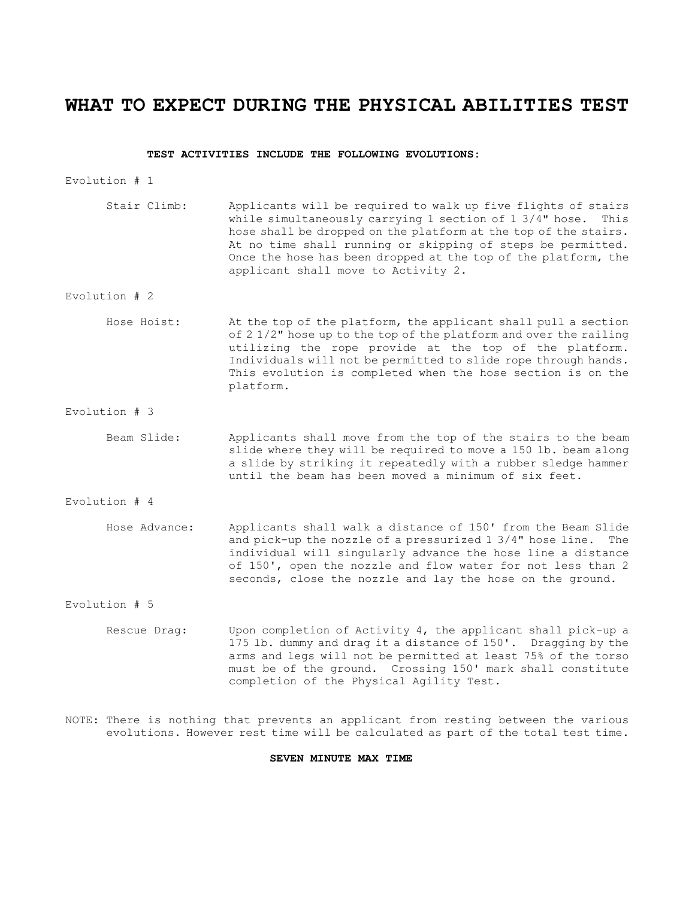### **WHAT TO EXPECT DURING THE PHYSICAL ABILITIES TEST**

#### **TEST ACTIVITIES INCLUDE THE FOLLOWING EVOLUTIONS:**

Evolution # 1

Stair Climb: Applicants will be required to walk up five flights of stairs while simultaneously carrying 1 section of 1 3/4" hose. This hose shall be dropped on the platform at the top of the stairs. At no time shall running or skipping of steps be permitted. Once the hose has been dropped at the top of the platform, the applicant shall move to Activity 2.

#### Evolution # 2

- Hose Hoist: At the top of the platform, the applicant shall pull a section of 2 1/2" hose up to the top of the platform and over the railing utilizing the rope provide at the top of the platform. Individuals will not be permitted to slide rope through hands. This evolution is completed when the hose section is on the platform.
- Evolution # 3
	- Beam Slide: Applicants shall move from the top of the stairs to the beam slide where they will be required to move a 150 lb. beam along a slide by striking it repeatedly with a rubber sledge hammer until the beam has been moved a minimum of six feet.
- Evolution # 4
	- Hose Advance: Applicants shall walk a distance of 150' from the Beam Slide and pick-up the nozzle of a pressurized 1 3/4" hose line. The individual will singularly advance the hose line a distance of 150', open the nozzle and flow water for not less than 2 seconds, close the nozzle and lay the hose on the ground.

#### Evolution # 5

- Rescue Drag: Upon completion of Activity 4, the applicant shall pick-up a 175 lb. dummy and drag it a distance of 150'. Dragging by the arms and legs will not be permitted at least 75% of the torso must be of the ground. Crossing 150' mark shall constitute completion of the Physical Agility Test.
- NOTE: There is nothing that prevents an applicant from resting between the various evolutions. However rest time will be calculated as part of the total test time.

#### **SEVEN MINUTE MAX TIME**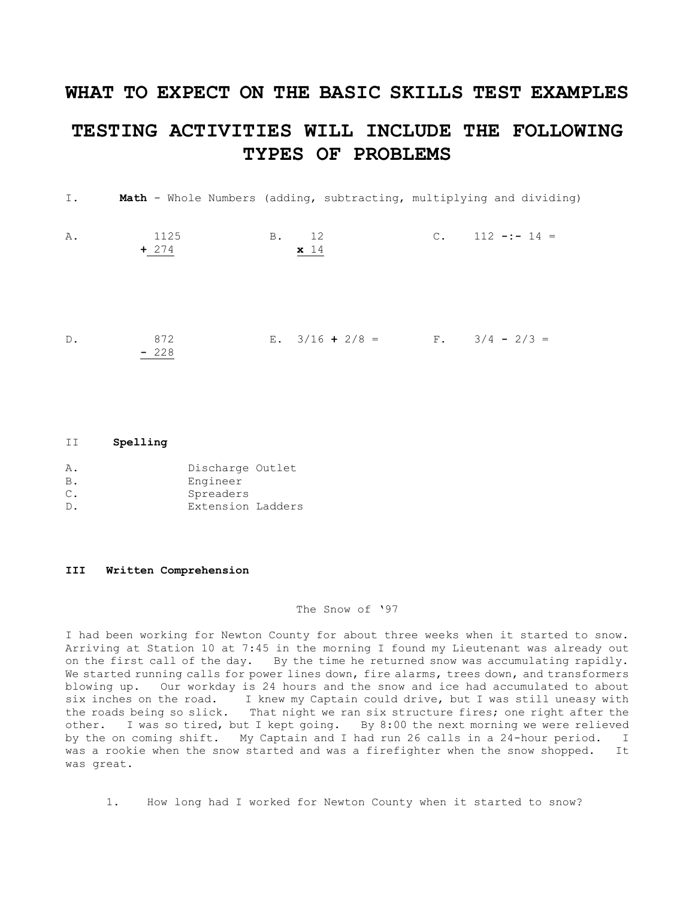# **WHAT TO EXPECT ON THE BASIC SKILLS TEST EXAMPLES TESTING ACTIVITIES WILL INCLUDE THE FOLLOWING TYPES OF PROBLEMS**

| I. |                 |                                    | <b>Math</b> - Whole Numbers (adding, subtracting, multiplying and dividing) |
|----|-----------------|------------------------------------|-----------------------------------------------------------------------------|
| Α. | 1125<br>$+ 274$ | B. 12<br>x 14                      | $C.$ 112 -:- 14 =                                                           |
| D. | 872<br>$-228$   | E. $3/16 + 2/8 =$ F. $3/4 - 2/3 =$ |                                                                             |

#### II **Spelling**

| Α.             | Discharge Outlet  |  |
|----------------|-------------------|--|
| В.             | Engineer          |  |
| $\mathsf{C}$ . | Spreaders         |  |
| $D$ .          | Extension Ladders |  |

#### **III Written Comprehension**

#### The Snow of '97

I had been working for Newton County for about three weeks when it started to snow. Arriving at Station 10 at 7:45 in the morning I found my Lieutenant was already out on the first call of the day. By the time he returned snow was accumulating rapidly. We started running calls for power lines down, fire alarms, trees down, and transformers blowing up. Our workday is 24 hours and the snow and ice had accumulated to about six inches on the road. I knew my Captain could drive, but I was still uneasy with the roads being so slick. That night we ran six structure fires; one right after the That night we ran six structure fires; one right after the other. I was so tired, but I kept going. By 8:00 the next morning we were relieved by the on coming shift. My Captain and I had run 26 calls in a 24-hour period. I was a rookie when the snow started and was a firefighter when the snow shopped. It was great.

1. How long had I worked for Newton County when it started to snow?